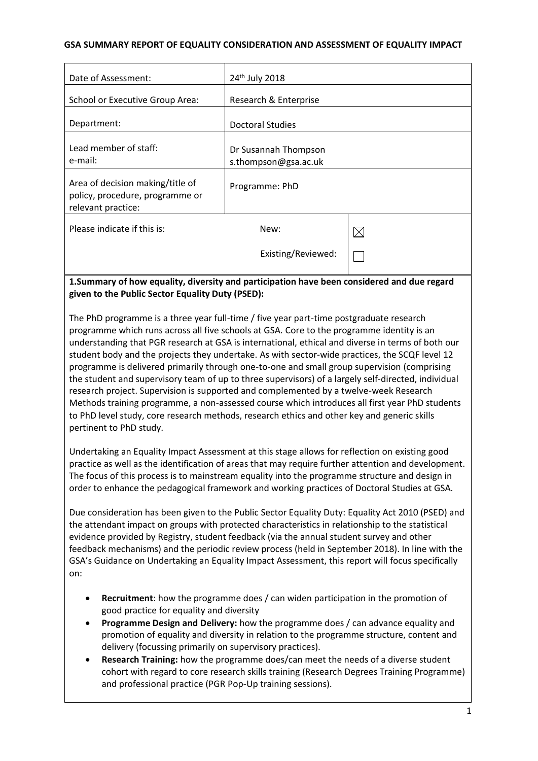#### **GSA SUMMARY REPORT OF EQUALITY CONSIDERATION AND ASSESSMENT OF EQUALITY IMPACT**

| Date of Assessment:                                                                       | 24th July 2018                               |             |
|-------------------------------------------------------------------------------------------|----------------------------------------------|-------------|
| School or Executive Group Area:                                                           | Research & Enterprise                        |             |
| Department:                                                                               | <b>Doctoral Studies</b>                      |             |
| Lead member of staff:<br>e-mail:                                                          | Dr Susannah Thompson<br>s.thompson@gsa.ac.uk |             |
| Area of decision making/title of<br>policy, procedure, programme or<br>relevant practice: | Programme: PhD                               |             |
| Please indicate if this is:                                                               | New:                                         | $\boxtimes$ |
|                                                                                           | Existing/Reviewed:                           |             |
|                                                                                           |                                              | .           |

#### **1.Summary of how equality, diversity and participation have been considered and due regard given to the Public Sector Equality Duty (PSED):**

The PhD programme is a three year full-time / five year part-time postgraduate research programme which runs across all five schools at GSA. Core to the programme identity is an understanding that PGR research at GSA is international, ethical and diverse in terms of both our student body and the projects they undertake. As with sector-wide practices, the SCQF level 12 programme is delivered primarily through one-to-one and small group supervision (comprising the student and supervisory team of up to three supervisors) of a largely self-directed, individual research project. Supervision is supported and complemented by a twelve-week Research Methods training programme, a non-assessed course which introduces all first year PhD students to PhD level study, core research methods, research ethics and other key and generic skills pertinent to PhD study.

Undertaking an Equality Impact Assessment at this stage allows for reflection on existing good practice as well as the identification of areas that may require further attention and development. The focus of this process is to mainstream equality into the programme structure and design in order to enhance the pedagogical framework and working practices of Doctoral Studies at GSA.

Due consideration has been given to the Public Sector Equality Duty: Equality Act 2010 (PSED) and the attendant impact on groups with protected characteristics in relationship to the statistical evidence provided by Registry, student feedback (via the annual student survey and other feedback mechanisms) and the periodic review process (held in September 2018). In line with the GSA's Guidance on Undertaking an Equality Impact Assessment, this report will focus specifically on:

- **Recruitment**: how the programme does / can widen participation in the promotion of good practice for equality and diversity
- **Programme Design and Delivery:** how the programme does / can advance equality and promotion of equality and diversity in relation to the programme structure, content and delivery (focussing primarily on supervisory practices).
- **Research Training:** how the programme does/can meet the needs of a diverse student cohort with regard to core research skills training (Research Degrees Training Programme) and professional practice (PGR Pop-Up training sessions).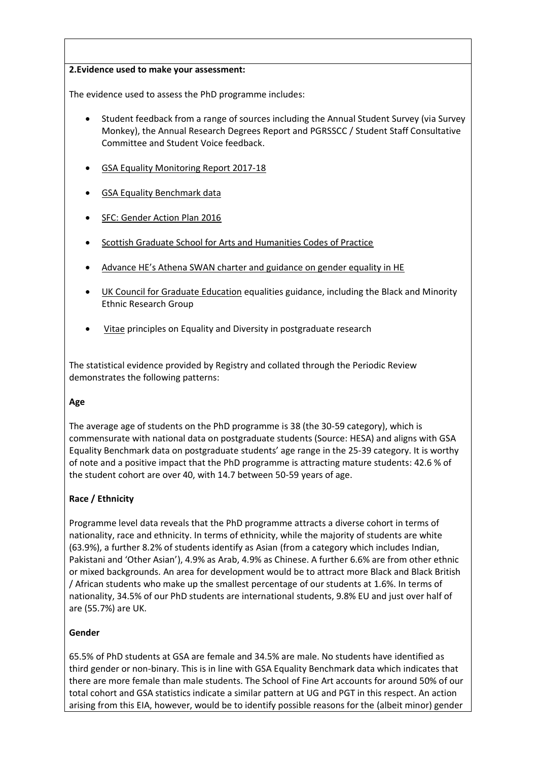#### **2.Evidence used to make your assessment:**

The evidence used to assess the PhD programme includes:

- Student feedback from a range of sources including the Annual Student Survey (via Survey Monkey), the Annual Research Degrees Report and PGRSSCC / Student Staff Consultative Committee and Student Voice feedback.
- **[GSA Equality Monitoring Report 2017-18](http://www.gsa.ac.uk/media/1667779/equality-report-2017-2018.pdf)**
- [GSA Equality Benchmark data](http://www.gsa.ac.uk/media/1292913/Student-Benchmark-Data-2014-15.pdf)
- [SFC: Gender Action Plan 2016](http://www.sfc.ac.uk/web/FILES/Corporate_publications_SFCCP052016_GenderActionPlan/SFCCP052016_Gender_Action_Plan.pdf)
- [Scottish Graduate School for Arts and Humanities Codes of Practice](https://www.sgsah.ac.uk/about/whoweare/values/)
- Advance HE's Athena SWAN [charter and guidance on gender equality in HE](http://www.ecu.ac.uk/wp-content/uploads/2014/07/Gender-Equality-1.pdf)
- [UK Council for Graduate Education](http://www.ukcge.ac.uk/Resources/resources-hub.aspx) equalities guidance, including the Black and Minority Ethnic Research Group
- [Vitae](https://www.vitae.ac.uk/policy/concordat-to-support-the-career-development-of-researchers/concordat-equality-and-diversity) principles on Equality and Diversity in postgraduate research

The statistical evidence provided by Registry and collated through the Periodic Review demonstrates the following patterns:

### **Age**

The average age of students on the PhD programme is 38 (the 30-59 category), which is commensurate with national data on postgraduate students (Source: HESA) and aligns with GSA Equality Benchmark data on postgraduate students' age range in the 25-39 category. It is worthy of note and a positive impact that the PhD programme is attracting mature students: 42.6 % of the student cohort are over 40, with 14.7 between 50-59 years of age.

### **Race / Ethnicity**

Programme level data reveals that the PhD programme attracts a diverse cohort in terms of nationality, race and ethnicity. In terms of ethnicity, while the majority of students are white (63.9%), a further 8.2% of students identify as Asian (from a category which includes Indian, Pakistani and 'Other Asian'), 4.9% as Arab, 4.9% as Chinese. A further 6.6% are from other ethnic or mixed backgrounds. An area for development would be to attract more Black and Black British / African students who make up the smallest percentage of our students at 1.6%. In terms of nationality, 34.5% of our PhD students are international students, 9.8% EU and just over half of are (55.7%) are UK.

### **Gender**

65.5% of PhD students at GSA are female and 34.5% are male. No students have identified as third gender or non-binary. This is in line with GSA Equality Benchmark data which indicates that there are more female than male students. The School of Fine Art accounts for around 50% of our total cohort and GSA statistics indicate a similar pattern at UG and PGT in this respect. An action arising from this EIA, however, would be to identify possible reasons for the (albeit minor) gender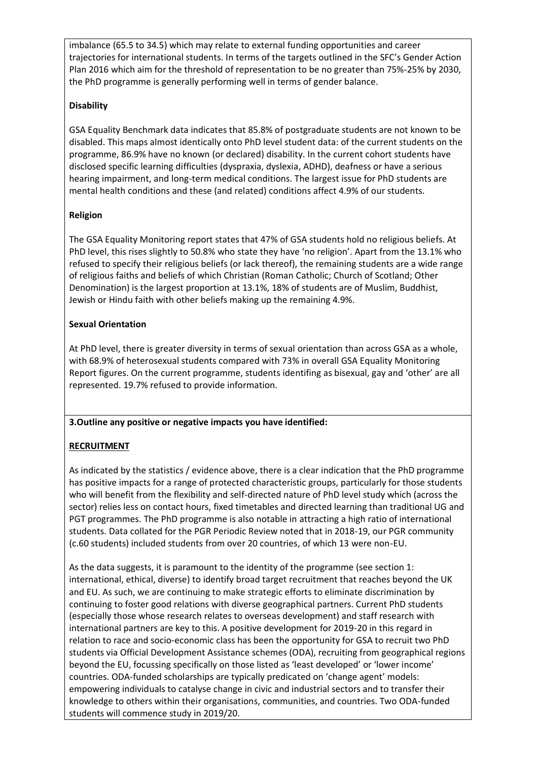imbalance (65.5 to 34.5) which may relate to external funding opportunities and career trajectories for international students. In terms of the targets outlined in the SFC's Gender Action Plan 2016 which aim for the threshold of representation to be no greater than 75%-25% by 2030, the PhD programme is generally performing well in terms of gender balance.

## **Disability**

GSA Equality Benchmark data indicates that 85.8% of postgraduate students are not known to be disabled. This maps almost identically onto PhD level student data: of the current students on the programme, 86.9% have no known (or declared) disability. In the current cohort students have disclosed specific learning difficulties (dyspraxia, dyslexia, ADHD), deafness or have a serious hearing impairment, and long-term medical conditions. The largest issue for PhD students are mental health conditions and these (and related) conditions affect 4.9% of our students.

## **Religion**

The GSA Equality Monitoring report states that 47% of GSA students hold no religious beliefs. At PhD level, this rises slightly to 50.8% who state they have 'no religion'. Apart from the 13.1% who refused to specify their religious beliefs (or lack thereof), the remaining students are a wide range of religious faiths and beliefs of which Christian (Roman Catholic; Church of Scotland; Other Denomination) is the largest proportion at 13.1%, 18% of students are of Muslim, Buddhist, Jewish or Hindu faith with other beliefs making up the remaining 4.9%.

## **Sexual Orientation**

At PhD level, there is greater diversity in terms of sexual orientation than across GSA as a whole, with 68.9% of heterosexual students compared with 73% in overall GSA Equality Monitoring Report figures. On the current programme, students identifing as bisexual, gay and 'other' are all represented. 19.7% refused to provide information.

### **3.Outline any positive or negative impacts you have identified:**

# **RECRUITMENT**

As indicated by the statistics / evidence above, there is a clear indication that the PhD programme has positive impacts for a range of protected characteristic groups, particularly for those students who will benefit from the flexibility and self-directed nature of PhD level study which (across the sector) relies less on contact hours, fixed timetables and directed learning than traditional UG and PGT programmes. The PhD programme is also notable in attracting a high ratio of international students. Data collated for the PGR Periodic Review noted that in 2018-19, our PGR community (c.60 students) included students from over 20 countries, of which 13 were non-EU.

As the data suggests, it is paramount to the identity of the programme (see section 1: international, ethical, diverse) to identify broad target recruitment that reaches beyond the UK and EU. As such, we are continuing to make strategic efforts to eliminate discrimination by continuing to foster good relations with diverse geographical partners. Current PhD students (especially those whose research relates to overseas development) and staff research with international partners are key to this. A positive development for 2019-20 in this regard in relation to race and socio-economic class has been the opportunity for GSA to recruit two PhD students via Official Development Assistance schemes (ODA), recruiting from geographical regions beyond the EU, focussing specifically on those listed as 'least developed' or 'lower income' countries. ODA-funded scholarships are typically predicated on 'change agent' models: empowering individuals to catalyse change in civic and industrial sectors and to transfer their knowledge to others within their organisations, communities, and countries. Two ODA-funded students will commence study in 2019/20.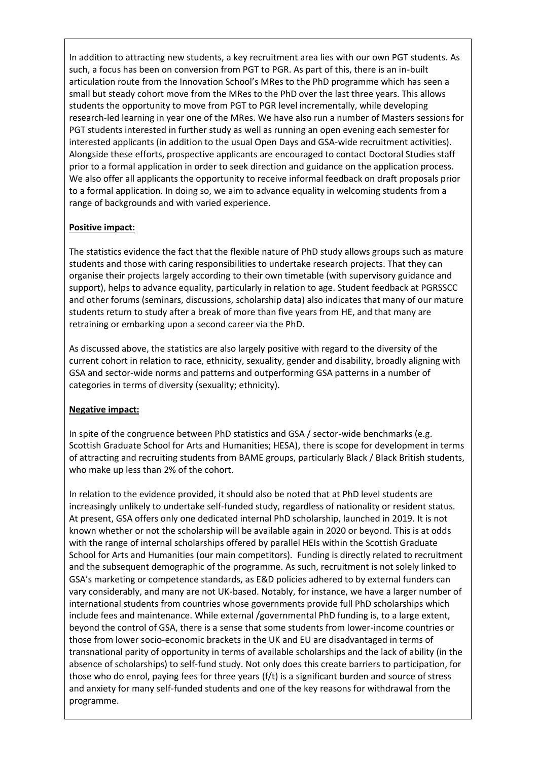In addition to attracting new students, a key recruitment area lies with our own PGT students. As such, a focus has been on conversion from PGT to PGR. As part of this, there is an in-built articulation route from the Innovation School's MRes to the PhD programme which has seen a small but steady cohort move from the MRes to the PhD over the last three years. This allows students the opportunity to move from PGT to PGR level incrementally, while developing research-led learning in year one of the MRes. We have also run a number of Masters sessions for PGT students interested in further study as well as running an open evening each semester for interested applicants (in addition to the usual Open Days and GSA-wide recruitment activities). Alongside these efforts, prospective applicants are encouraged to contact Doctoral Studies staff prior to a formal application in order to seek direction and guidance on the application process. We also offer all applicants the opportunity to receive informal feedback on draft proposals prior to a formal application. In doing so, we aim to advance equality in welcoming students from a range of backgrounds and with varied experience.

### **Positive impact:**

The statistics evidence the fact that the flexible nature of PhD study allows groups such as mature students and those with caring responsibilities to undertake research projects. That they can organise their projects largely according to their own timetable (with supervisory guidance and support), helps to advance equality, particularly in relation to age. Student feedback at PGRSSCC and other forums (seminars, discussions, scholarship data) also indicates that many of our mature students return to study after a break of more than five years from HE, and that many are retraining or embarking upon a second career via the PhD.

As discussed above, the statistics are also largely positive with regard to the diversity of the current cohort in relation to race, ethnicity, sexuality, gender and disability, broadly aligning with GSA and sector-wide norms and patterns and outperforming GSA patterns in a number of categories in terms of diversity (sexuality; ethnicity).

# **Negative impact:**

In spite of the congruence between PhD statistics and GSA / sector-wide benchmarks (e.g. Scottish Graduate School for Arts and Humanities; HESA), there is scope for development in terms of attracting and recruiting students from BAME groups, particularly Black / Black British students, who make up less than 2% of the cohort.

In relation to the evidence provided, it should also be noted that at PhD level students are increasingly unlikely to undertake self-funded study, regardless of nationality or resident status. At present, GSA offers only one dedicated internal PhD scholarship, launched in 2019. It is not known whether or not the scholarship will be available again in 2020 or beyond. This is at odds with the range of internal scholarships offered by parallel HEIs within the Scottish Graduate School for Arts and Humanities (our main competitors). Funding is directly related to recruitment and the subsequent demographic of the programme. As such, recruitment is not solely linked to GSA's marketing or competence standards, as E&D policies adhered to by external funders can vary considerably, and many are not UK-based. Notably, for instance, we have a larger number of international students from countries whose governments provide full PhD scholarships which include fees and maintenance. While external /governmental PhD funding is, to a large extent, beyond the control of GSA, there is a sense that some students from lower-income countries or those from lower socio-economic brackets in the UK and EU are disadvantaged in terms of transnational parity of opportunity in terms of available scholarships and the lack of ability (in the absence of scholarships) to self-fund study. Not only does this create barriers to participation, for those who do enrol, paying fees for three years (f/t) is a significant burden and source of stress and anxiety for many self-funded students and one of the key reasons for withdrawal from the programme.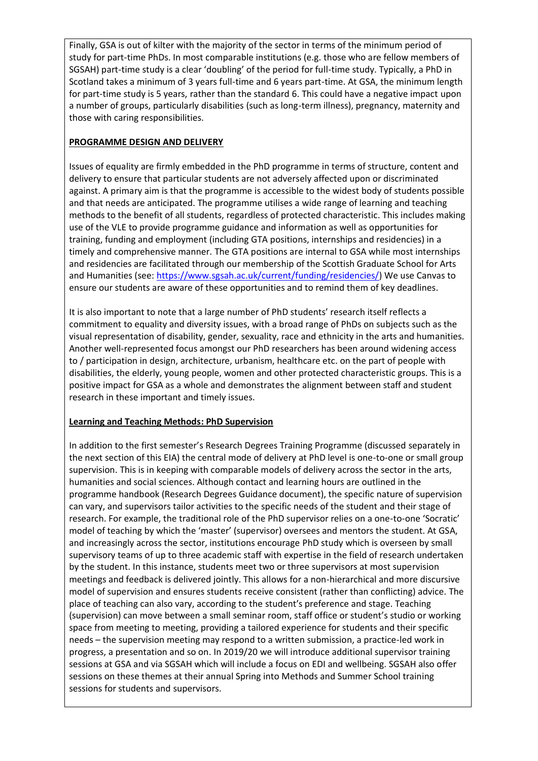Finally, GSA is out of kilter with the majority of the sector in terms of the minimum period of study for part-time PhDs. In most comparable institutions (e.g. those who are fellow members of SGSAH) part-time study is a clear 'doubling' of the period for full-time study. Typically, a PhD in Scotland takes a minimum of 3 years full-time and 6 years part-time. At GSA, the minimum length for part-time study is 5 years, rather than the standard 6. This could have a negative impact upon a number of groups, particularly disabilities (such as long-term illness), pregnancy, maternity and those with caring responsibilities.

### **PROGRAMME DESIGN AND DELIVERY**

Issues of equality are firmly embedded in the PhD programme in terms of structure, content and delivery to ensure that particular students are not adversely affected upon or discriminated against. A primary aim is that the programme is accessible to the widest body of students possible and that needs are anticipated. The programme utilises a wide range of learning and teaching methods to the benefit of all students, regardless of protected characteristic. This includes making use of the VLE to provide programme guidance and information as well as opportunities for training, funding and employment (including GTA positions, internships and residencies) in a timely and comprehensive manner. The GTA positions are internal to GSA while most internships and residencies are facilitated through our membership of the Scottish Graduate School for Arts and Humanities (see: [https://www.sgsah.ac.uk/current/funding/residencies/\)](https://www.sgsah.ac.uk/current/funding/residencies/) We use Canvas to ensure our students are aware of these opportunities and to remind them of key deadlines.

It is also important to note that a large number of PhD students' research itself reflects a commitment to equality and diversity issues, with a broad range of PhDs on subjects such as the visual representation of disability, gender, sexuality, race and ethnicity in the arts and humanities. Another well-represented focus amongst our PhD researchers has been around widening access to / participation in design, architecture, urbanism, healthcare etc. on the part of people with disabilities, the elderly, young people, women and other protected characteristic groups. This is a positive impact for GSA as a whole and demonstrates the alignment between staff and student research in these important and timely issues.

### **Learning and Teaching Methods: PhD Supervision**

In addition to the first semester's Research Degrees Training Programme (discussed separately in the next section of this EIA) the central mode of delivery at PhD level is one-to-one or small group supervision. This is in keeping with comparable models of delivery across the sector in the arts, humanities and social sciences. Although contact and learning hours are outlined in the programme handbook (Research Degrees Guidance document), the specific nature of supervision can vary, and supervisors tailor activities to the specific needs of the student and their stage of research. For example, the traditional role of the PhD supervisor relies on a one-to-one 'Socratic' model of teaching by which the 'master' (supervisor) oversees and mentors the student. At GSA, and increasingly across the sector, institutions encourage PhD study which is overseen by small supervisory teams of up to three academic staff with expertise in the field of research undertaken by the student. In this instance, students meet two or three supervisors at most supervision meetings and feedback is delivered jointly. This allows for a non-hierarchical and more discursive model of supervision and ensures students receive consistent (rather than conflicting) advice. The place of teaching can also vary, according to the student's preference and stage. Teaching (supervision) can move between a small seminar room, staff office or student's studio or working space from meeting to meeting, providing a tailored experience for students and their specific needs – the supervision meeting may respond to a written submission, a practice-led work in progress, a presentation and so on. In 2019/20 we will introduce additional supervisor training sessions at GSA and via SGSAH which will include a focus on EDI and wellbeing. SGSAH also offer sessions on these themes at their annual Spring into Methods and Summer School training sessions for students and supervisors.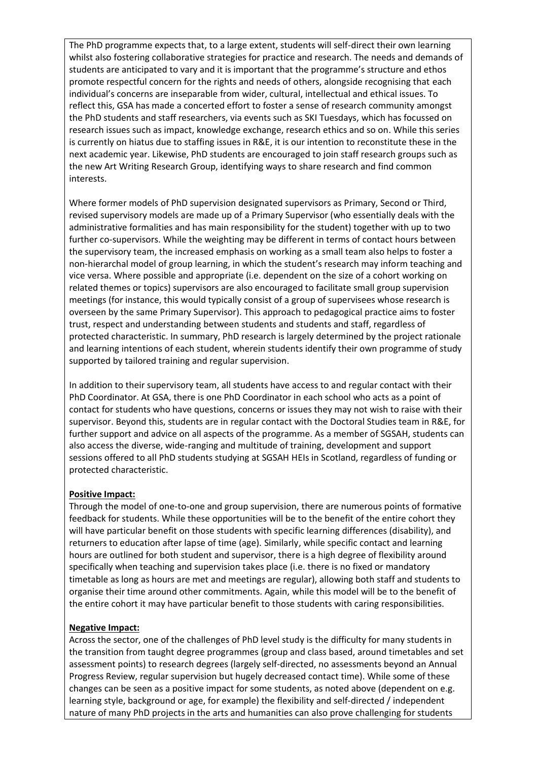The PhD programme expects that, to a large extent, students will self-direct their own learning whilst also fostering collaborative strategies for practice and research. The needs and demands of students are anticipated to vary and it is important that the programme's structure and ethos promote respectful concern for the rights and needs of others, alongside recognising that each individual's concerns are inseparable from wider, cultural, intellectual and ethical issues. To reflect this, GSA has made a concerted effort to foster a sense of research community amongst the PhD students and staff researchers, via events such as SKI Tuesdays, which has focussed on research issues such as impact, knowledge exchange, research ethics and so on. While this series is currently on hiatus due to staffing issues in R&E, it is our intention to reconstitute these in the next academic year. Likewise, PhD students are encouraged to join staff research groups such as the new Art Writing Research Group, identifying ways to share research and find common interests.

Where former models of PhD supervision designated supervisors as Primary, Second or Third, revised supervisory models are made up of a Primary Supervisor (who essentially deals with the administrative formalities and has main responsibility for the student) together with up to two further co-supervisors. While the weighting may be different in terms of contact hours between the supervisory team, the increased emphasis on working as a small team also helps to foster a non-hierarchal model of group learning, in which the student's research may inform teaching and vice versa. Where possible and appropriate (i.e. dependent on the size of a cohort working on related themes or topics) supervisors are also encouraged to facilitate small group supervision meetings (for instance, this would typically consist of a group of supervisees whose research is overseen by the same Primary Supervisor). This approach to pedagogical practice aims to foster trust, respect and understanding between students and students and staff, regardless of protected characteristic. In summary, PhD research is largely determined by the project rationale and learning intentions of each student, wherein students identify their own programme of study supported by tailored training and regular supervision.

In addition to their supervisory team, all students have access to and regular contact with their PhD Coordinator. At GSA, there is one PhD Coordinator in each school who acts as a point of contact for students who have questions, concerns or issues they may not wish to raise with their supervisor. Beyond this, students are in regular contact with the Doctoral Studies team in R&E, for further support and advice on all aspects of the programme. As a member of SGSAH, students can also access the diverse, wide-ranging and multitude of training, development and support sessions offered to all PhD students studying at SGSAH HEIs in Scotland, regardless of funding or protected characteristic.

#### **Positive Impact:**

Through the model of one-to-one and group supervision, there are numerous points of formative feedback for students. While these opportunities will be to the benefit of the entire cohort they will have particular benefit on those students with specific learning differences (disability), and returners to education after lapse of time (age). Similarly, while specific contact and learning hours are outlined for both student and supervisor, there is a high degree of flexibility around specifically when teaching and supervision takes place (i.e. there is no fixed or mandatory timetable as long as hours are met and meetings are regular), allowing both staff and students to organise their time around other commitments. Again, while this model will be to the benefit of the entire cohort it may have particular benefit to those students with caring responsibilities.

### **Negative Impact:**

Across the sector, one of the challenges of PhD level study is the difficulty for many students in the transition from taught degree programmes (group and class based, around timetables and set assessment points) to research degrees (largely self-directed, no assessments beyond an Annual Progress Review, regular supervision but hugely decreased contact time). While some of these changes can be seen as a positive impact for some students, as noted above (dependent on e.g. learning style, background or age, for example) the flexibility and self-directed / independent nature of many PhD projects in the arts and humanities can also prove challenging for students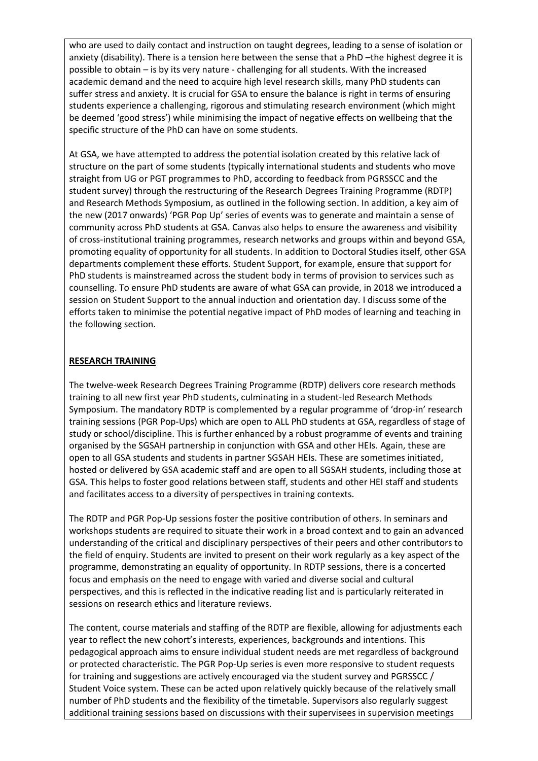who are used to daily contact and instruction on taught degrees, leading to a sense of isolation or anxiety (disability). There is a tension here between the sense that a PhD –the highest degree it is possible to obtain – is by its very nature - challenging for all students. With the increased academic demand and the need to acquire high level research skills, many PhD students can suffer stress and anxiety. It is crucial for GSA to ensure the balance is right in terms of ensuring students experience a challenging, rigorous and stimulating research environment (which might be deemed 'good stress') while minimising the impact of negative effects on wellbeing that the specific structure of the PhD can have on some students.

At GSA, we have attempted to address the potential isolation created by this relative lack of structure on the part of some students (typically international students and students who move straight from UG or PGT programmes to PhD, according to feedback from PGRSSCC and the student survey) through the restructuring of the Research Degrees Training Programme (RDTP) and Research Methods Symposium, as outlined in the following section. In addition, a key aim of the new (2017 onwards) 'PGR Pop Up' series of events was to generate and maintain a sense of community across PhD students at GSA. Canvas also helps to ensure the awareness and visibility of cross-institutional training programmes, research networks and groups within and beyond GSA, promoting equality of opportunity for all students. In addition to Doctoral Studies itself, other GSA departments complement these efforts. Student Support, for example, ensure that support for PhD students is mainstreamed across the student body in terms of provision to services such as counselling. To ensure PhD students are aware of what GSA can provide, in 2018 we introduced a session on Student Support to the annual induction and orientation day. I discuss some of the efforts taken to minimise the potential negative impact of PhD modes of learning and teaching in the following section.

#### **RESEARCH TRAINING**

The twelve-week Research Degrees Training Programme (RDTP) delivers core research methods training to all new first year PhD students, culminating in a student-led Research Methods Symposium. The mandatory RDTP is complemented by a regular programme of 'drop-in' research training sessions (PGR Pop-Ups) which are open to ALL PhD students at GSA, regardless of stage of study or school/discipline. This is further enhanced by a robust programme of events and training organised by the SGSAH partnership in conjunction with GSA and other HEIs. Again, these are open to all GSA students and students in partner SGSAH HEIs. These are sometimes initiated, hosted or delivered by GSA academic staff and are open to all SGSAH students, including those at GSA. This helps to foster good relations between staff, students and other HEI staff and students and facilitates access to a diversity of perspectives in training contexts.

The RDTP and PGR Pop-Up sessions foster the positive contribution of others. In seminars and workshops students are required to situate their work in a broad context and to gain an advanced understanding of the critical and disciplinary perspectives of their peers and other contributors to the field of enquiry. Students are invited to present on their work regularly as a key aspect of the programme, demonstrating an equality of opportunity. In RDTP sessions, there is a concerted focus and emphasis on the need to engage with varied and diverse social and cultural perspectives, and this is reflected in the indicative reading list and is particularly reiterated in sessions on research ethics and literature reviews.

The content, course materials and staffing of the RDTP are flexible, allowing for adjustments each year to reflect the new cohort's interests, experiences, backgrounds and intentions. This pedagogical approach aims to ensure individual student needs are met regardless of background or protected characteristic. The PGR Pop-Up series is even more responsive to student requests for training and suggestions are actively encouraged via the student survey and PGRSSCC / Student Voice system. These can be acted upon relatively quickly because of the relatively small number of PhD students and the flexibility of the timetable. Supervisors also regularly suggest additional training sessions based on discussions with their supervisees in supervision meetings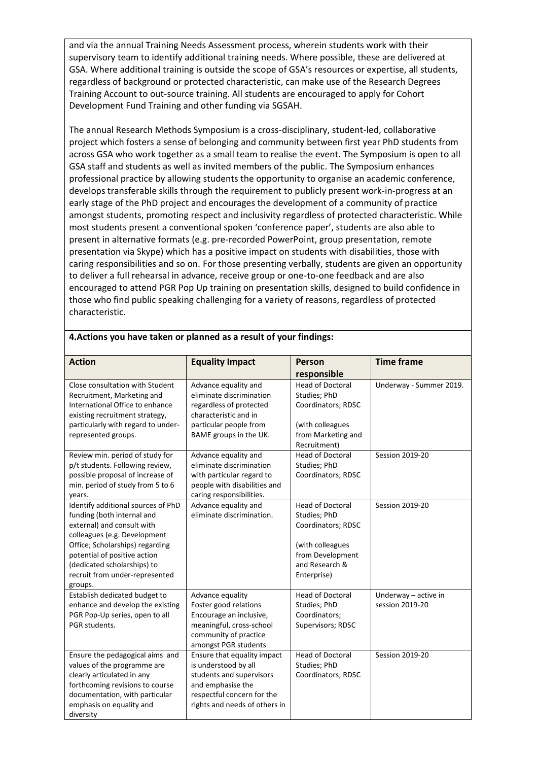and via the annual Training Needs Assessment process, wherein students work with their supervisory team to identify additional training needs. Where possible, these are delivered at GSA. Where additional training is outside the scope of GSA's resources or expertise, all students, regardless of background or protected characteristic, can make use of the Research Degrees Training Account to out-source training. All students are encouraged to apply for Cohort Development Fund Training and other funding via SGSAH.

The annual Research Methods Symposium is a cross-disciplinary, student-led, collaborative project which fosters a sense of belonging and community between first year PhD students from across GSA who work together as a small team to realise the event. The Symposium is open to all GSA staff and students as well as invited members of the public. The Symposium enhances professional practice by allowing students the opportunity to organise an academic conference, develops transferable skills through the requirement to publicly present work-in-progress at an early stage of the PhD project and encourages the development of a community of practice amongst students, promoting respect and inclusivity regardless of protected characteristic. While most students present a conventional spoken 'conference paper', students are also able to present in alternative formats (e.g. pre-recorded PowerPoint, group presentation, remote presentation via Skype) which has a positive impact on students with disabilities, those with caring responsibilities and so on. For those presenting verbally, students are given an opportunity to deliver a full rehearsal in advance, receive group or one-to-one feedback and are also encouraged to attend PGR Pop Up training on presentation skills, designed to build confidence in those who find public speaking challenging for a variety of reasons, regardless of protected characteristic.

| <b>Action</b>                      | <b>Equality Impact</b>        | Person                  | <b>Time frame</b>       |
|------------------------------------|-------------------------------|-------------------------|-------------------------|
|                                    |                               |                         |                         |
|                                    |                               | responsible             |                         |
| Close consultation with Student    | Advance equality and          | <b>Head of Doctoral</b> | Underway - Summer 2019. |
| Recruitment, Marketing and         | eliminate discrimination      | Studies; PhD            |                         |
| International Office to enhance    | regardless of protected       | Coordinators; RDSC      |                         |
| existing recruitment strategy,     | characteristic and in         |                         |                         |
| particularly with regard to under- | particular people from        | (with colleagues        |                         |
| represented groups.                | BAME groups in the UK.        | from Marketing and      |                         |
|                                    |                               | Recruitment)            |                         |
| Review min. period of study for    | Advance equality and          | <b>Head of Doctoral</b> | <b>Session 2019-20</b>  |
| p/t students. Following review,    | eliminate discrimination      | Studies; PhD            |                         |
| possible proposal of increase of   | with particular regard to     | Coordinators; RDSC      |                         |
| min. period of study from 5 to 6   | people with disabilities and  |                         |                         |
| years.                             | caring responsibilities.      |                         |                         |
| Identify additional sources of PhD | Advance equality and          | <b>Head of Doctoral</b> | <b>Session 2019-20</b>  |
| funding (both internal and         | eliminate discrimination.     | Studies; PhD            |                         |
| external) and consult with         |                               | Coordinators; RDSC      |                         |
| colleagues (e.g. Development       |                               |                         |                         |
| Office; Scholarships) regarding    |                               | (with colleagues        |                         |
| potential of positive action       |                               | from Development        |                         |
| (dedicated scholarships) to        |                               | and Research &          |                         |
| recruit from under-represented     |                               | Enterprise)             |                         |
| groups.                            |                               |                         |                         |
| Establish dedicated budget to      | Advance equality              | <b>Head of Doctoral</b> | Underway - active in    |
| enhance and develop the existing   | Foster good relations         | Studies; PhD            | session 2019-20         |
| PGR Pop-Up series, open to all     | Encourage an inclusive,       | Coordinators;           |                         |
| PGR students.                      | meaningful, cross-school      | Supervisors; RDSC       |                         |
|                                    | community of practice         |                         |                         |
|                                    | amongst PGR students          |                         |                         |
| Ensure the pedagogical aims and    | Ensure that equality impact   | <b>Head of Doctoral</b> | <b>Session 2019-20</b>  |
| values of the programme are        | is understood by all          | Studies; PhD            |                         |
| clearly articulated in any         | students and supervisors      | Coordinators; RDSC      |                         |
| forthcoming revisions to course    | and emphasise the             |                         |                         |
| documentation, with particular     | respectful concern for the    |                         |                         |
| emphasis on equality and           | rights and needs of others in |                         |                         |
| diversity                          |                               |                         |                         |

#### **4.Actions you have taken or planned as a result of your findings:**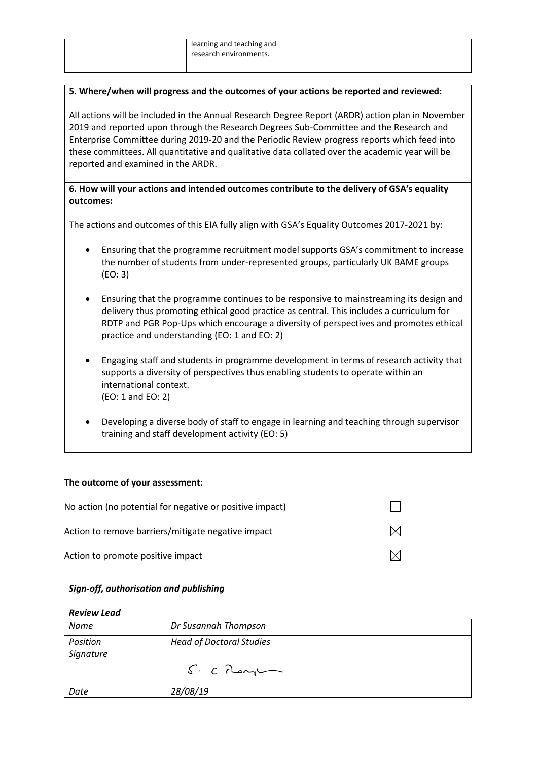| learning and teaching and<br>research environments. |  |
|-----------------------------------------------------|--|
|                                                     |  |

#### **5. Where/when will progress and the outcomes of your actions be reported and reviewed:**

All actions will be included in the Annual Research Degree Report (ARDR) action plan in November 2019 and reported upon through the Research Degrees Sub-Committee and the Research and Enterprise Committee during 2019-20 and the Periodic Review progress reports which feed into these committees. All quantitative and qualitative data collated over the academic year will be reported and examined in the ARDR.

### **6. How will your actions and intended outcomes contribute to the delivery of GSA's equality outcomes:**

The actions and outcomes of this EIA fully align with GSA's Equality Outcomes 2017-2021 by:

- Ensuring that the programme recruitment model supports GSA's commitment to increase the number of students from under-represented groups, particularly UK BAME groups (EO: 3)
- Ensuring that the programme continues to be responsive to mainstreaming its design and delivery thus promoting ethical good practice as central. This includes a curriculum for RDTP and PGR Pop-Ups which encourage a diversity of perspectives and promotes ethical practice and understanding (EO: 1 and EO: 2)
- Engaging staff and students in programme development in terms of research activity that supports a diversity of perspectives thus enabling students to operate within an international context. (EO: 1 and EO: 2)
- Developing a diverse body of staff to engage in learning and teaching through supervisor training and staff development activity (EO: 5)

#### **The outcome of your assessment:**

| No action (no potential for negative or positive impact) |  |
|----------------------------------------------------------|--|
| Action to remove barriers/mitigate negative impact       |  |
| Action to promote positive impact                        |  |

#### *Sign-off, authorisation and publishing*

#### *Review Lead*

| Name      | Dr Susannah Thompson            |
|-----------|---------------------------------|
| Position  | <b>Head of Doctoral Studies</b> |
| Signature | $S: C$ Rengt                    |
| Date      | 28/08/19                        |